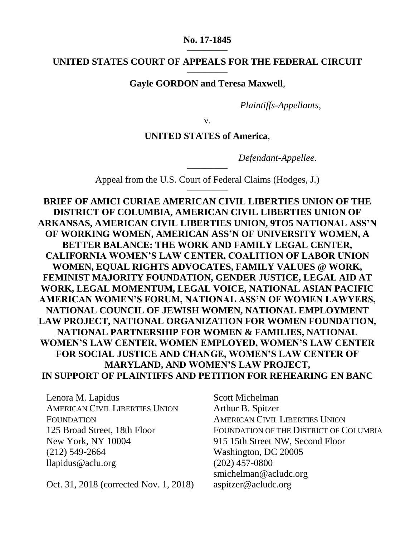#### **No. 17-1845**  $\overline{\phantom{a}}$  , where  $\overline{\phantom{a}}$

#### **UNITED STATES COURT OF APPEALS FOR THE FEDERAL CIRCUIT** \_\_\_\_\_\_\_\_\_\_\_\_\_\_\_

### **Gayle GORDON and Teresa Maxwell**,

*Plaintiffs-Appellants*,

v.

### **UNITED STATES of America**,

*Defendant-Appellee*.

\_\_\_\_\_\_\_\_\_\_\_\_\_\_\_ Appeal from the U.S. Court of Federal Claims (Hodges, J.) \_\_\_\_\_\_\_\_\_\_\_\_\_\_\_

**BRIEF OF AMICI CURIAE AMERICAN CIVIL LIBERTIES UNION OF THE DISTRICT OF COLUMBIA, AMERICAN CIVIL LIBERTIES UNION OF ARKANSAS, AMERICAN CIVIL LIBERTIES UNION, 9TO5 NATIONAL ASS'N OF WORKING WOMEN, AMERICAN ASS'N OF UNIVERSITY WOMEN, A BETTER BALANCE: THE WORK AND FAMILY LEGAL CENTER, CALIFORNIA WOMEN'S LAW CENTER, COALITION OF LABOR UNION WOMEN, EQUAL RIGHTS ADVOCATES, FAMILY VALUES @ WORK, FEMINIST MAJORITY FOUNDATION, GENDER JUSTICE, LEGAL AID AT WORK, LEGAL MOMENTUM, LEGAL VOICE, NATIONAL ASIAN PACIFIC AMERICAN WOMEN'S FORUM, NATIONAL ASS'N OF WOMEN LAWYERS, NATIONAL COUNCIL OF JEWISH WOMEN, NATIONAL EMPLOYMENT LAW PROJECT, NATIONAL ORGANIZATION FOR WOMEN FOUNDATION, NATIONAL PARTNERSHIP FOR WOMEN & FAMILIES, NATIONAL WOMEN'S LAW CENTER, WOMEN EMPLOYED, WOMEN'S LAW CENTER FOR SOCIAL JUSTICE AND CHANGE, WOMEN'S LAW CENTER OF MARYLAND, AND WOMEN'S LAW PROJECT, IN SUPPORT OF PLAINTIFFS AND PETITION FOR REHEARING EN BANC**

Lenora M. Lapidus AMERICAN CIVIL LIBERTIES UNION **FOUNDATION** 125 Broad Street, 18th Floor New York, NY 10004 (212) 549-2664 llapidus@aclu.org

Oct. 31, 2018 (corrected Nov. 1, 2018)

Scott Michelman Arthur B. Spitzer AMERICAN CIVIL LIBERTIES UNION FOUNDATION OF THE DISTRICT OF COLUMBIA 915 15th Street NW, Second Floor Washington, DC 20005 (202) 457-0800 smichelman@acludc.org aspitzer@acludc.org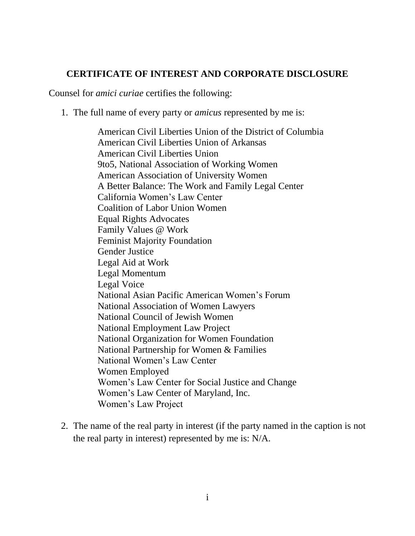## **CERTIFICATE OF INTEREST AND CORPORATE DISCLOSURE**

Counsel for *amici curiae* certifies the following:

1. The full name of every party or *amicus* represented by me is:

American Civil Liberties Union of the District of Columbia American Civil Liberties Union of Arkansas American Civil Liberties Union 9to5, National Association of Working Women American Association of University Women A Better Balance: The Work and Family Legal Center California Women's Law Center Coalition of Labor Union Women Equal Rights Advocates Family Values @ Work Feminist Majority Foundation Gender Justice Legal Aid at Work Legal Momentum Legal Voice National Asian Pacific American Women's Forum National Association of Women Lawyers National Council of Jewish Women National Employment Law Project National Organization for Women Foundation National Partnership for Women & Families National Women's Law Center Women Employed Women's Law Center for Social Justice and Change Women's Law Center of Maryland, Inc. Women's Law Project

2. The name of the real party in interest (if the party named in the caption is not the real party in interest) represented by me is: N/A.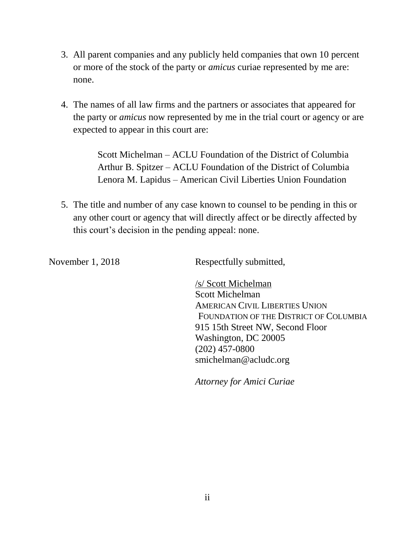- 3. All parent companies and any publicly held companies that own 10 percent or more of the stock of the party or *amicus* curiae represented by me are: none.
- 4. The names of all law firms and the partners or associates that appeared for the party or *amicus* now represented by me in the trial court or agency or are expected to appear in this court are:

Scott Michelman – ACLU Foundation of the District of Columbia Arthur B. Spitzer – ACLU Foundation of the District of Columbia Lenora M. Lapidus – American Civil Liberties Union Foundation

5. The title and number of any case known to counsel to be pending in this or any other court or agency that will directly affect or be directly affected by this court's decision in the pending appeal: none.

November 1, 2018 Respectfully submitted,

/s/ Scott Michelman Scott Michelman AMERICAN CIVIL LIBERTIES UNION FOUNDATION OF THE DISTRICT OF COLUMBIA 915 15th Street NW, Second Floor Washington, DC 20005 (202) 457-0800 smichelman@acludc.org

*Attorney for Amici Curiae*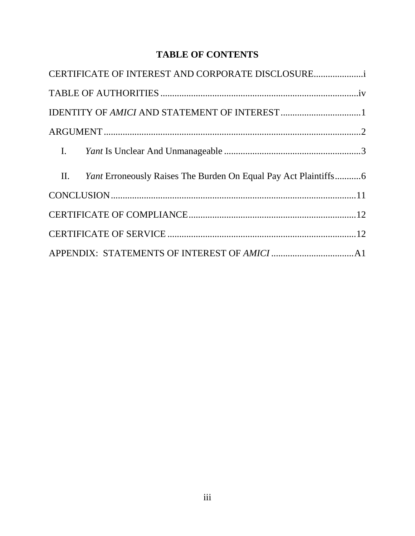# **TABLE OF CONTENTS**

| CERTIFICATE OF INTEREST AND CORPORATE DISCLOSURE                    |  |
|---------------------------------------------------------------------|--|
|                                                                     |  |
|                                                                     |  |
|                                                                     |  |
|                                                                     |  |
| II. Yant Erroneously Raises The Burden On Equal Pay Act Plaintiffs6 |  |
|                                                                     |  |
|                                                                     |  |
|                                                                     |  |
|                                                                     |  |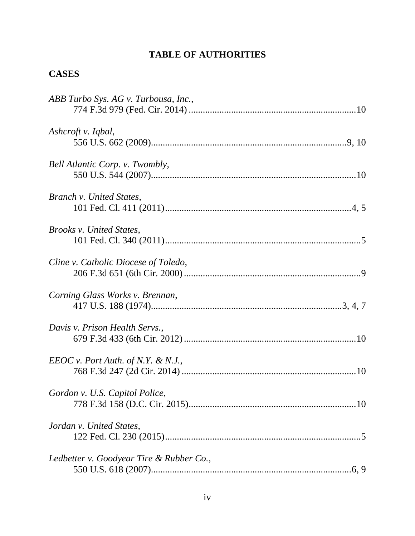# **TABLE OF AUTHORITIES**

# **CASES**

| ABB Turbo Sys. AG v. Turbousa, Inc.,     |  |
|------------------------------------------|--|
|                                          |  |
| Ashcroft v. Iqbal,                       |  |
|                                          |  |
| Bell Atlantic Corp. v. Twombly,          |  |
|                                          |  |
| Branch v. United States,                 |  |
|                                          |  |
| Brooks v. United States,                 |  |
|                                          |  |
| Cline v. Catholic Diocese of Toledo,     |  |
|                                          |  |
| Corning Glass Works v. Brennan,          |  |
|                                          |  |
| Davis v. Prison Health Servs.,           |  |
|                                          |  |
| $EEOC v.$ Port Auth. of N.Y. & N.J.,     |  |
|                                          |  |
| Gordon v. U.S. Capitol Police,           |  |
|                                          |  |
| Jordan v. United States,                 |  |
|                                          |  |
| Ledbetter v. Goodyear Tire & Rubber Co., |  |
|                                          |  |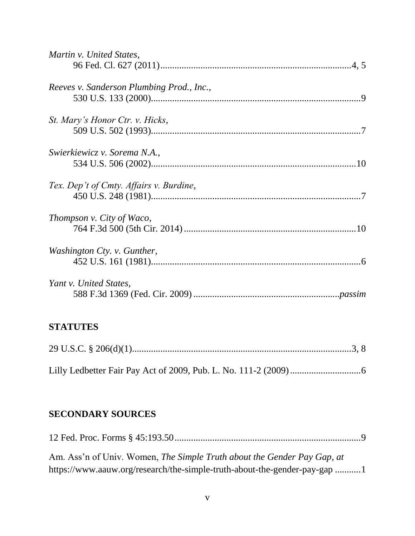| Martin v. United States,                  |
|-------------------------------------------|
| Reeves v. Sanderson Plumbing Prod., Inc., |
| St. Mary's Honor Ctr. v. Hicks,           |
| Swierkiewicz v. Sorema N.A.,              |
| Tex. Dep't of Cmty. Affairs v. Burdine,   |
| Thompson v. City of Waco,                 |
| Washington Cty. v. Gunther,               |
| Yant v. United States,                    |
|                                           |

# **STATUTES**

# **SECONDARY SOURCES**

| Am. Ass'n of Univ. Women, The Simple Truth about the Gender Pay Gap, at   |  |
|---------------------------------------------------------------------------|--|
| https://www.aauw.org/research/the-simple-truth-about-the-gender-pay-gap 1 |  |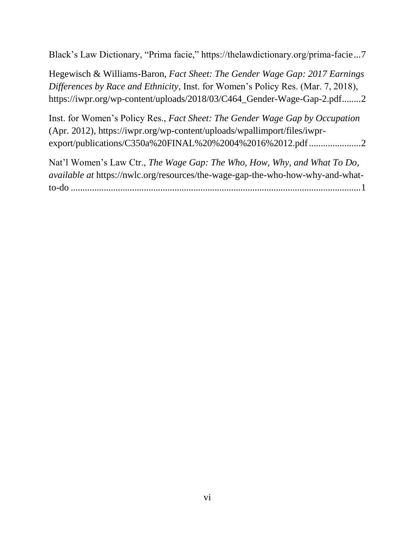Black's Law Dictionary, "Prima facie," https://thelawdictionary.org/prima-facie...7

Hegewisch & Williams-Baron, *Fact Sheet: The Gender Wage Gap: 2017 Earnings Differences by Race and Ethnicity*, Inst. for Women's Policy Res. (Mar. 7, 2018), https://iwpr.org/wp-content/uploads/2018/03/C464\_Gender-Wage-Gap-2.pdf........2

Inst. for Women's Policy Res., *Fact Sheet: The Gender Wage Gap by Occupation* (Apr. 2012), https://iwpr.org/wp-content/uploads/wpallimport/files/iwprexport/publications/C350a%20FINAL%20%2004%2016%2012.pdf...........................

Nat'l Women's Law Ctr., *The Wage Gap: The Who, How, Why, and What To Do*, *available at* https://nwlc.org/resources/the-wage-gap-the-who-how-why-and-whatto-do ...........................................................................................................................1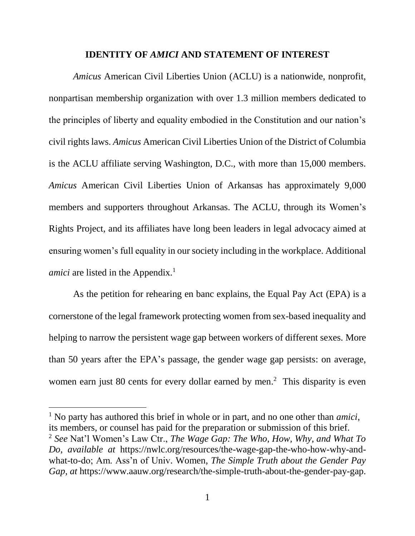#### **IDENTITY OF** *AMICI* **AND STATEMENT OF INTEREST**

*Amicus* American Civil Liberties Union (ACLU) is a nationwide, nonprofit, nonpartisan membership organization with over 1.3 million members dedicated to the principles of liberty and equality embodied in the Constitution and our nation's civil rights laws. *Amicus* American Civil Liberties Union of the District of Columbia is the ACLU affiliate serving Washington, D.C., with more than 15,000 members. *Amicus* American Civil Liberties Union of Arkansas has approximately 9,000 members and supporters throughout Arkansas. The ACLU, through its Women's Rights Project, and its affiliates have long been leaders in legal advocacy aimed at ensuring women's full equality in our society including in the workplace. Additional *amici* are listed in the Appendix.<sup>1</sup>

As the petition for rehearing en banc explains, the Equal Pay Act (EPA) is a cornerstone of the legal framework protecting women from sex-based inequality and helping to narrow the persistent wage gap between workers of different sexes. More than 50 years after the EPA's passage, the gender wage gap persists: on average, women earn just 80 cents for every dollar earned by men.<sup>2</sup> This disparity is even

 $\overline{a}$ 

<sup>1</sup> No party has authored this brief in whole or in part, and no one other than *amici*, its members, or counsel has paid for the preparation or submission of this brief. <sup>2</sup> *See* Nat'l Women's Law Ctr., *The Wage Gap: The Who, How, Why, and What To Do*, *available at* https://nwlc.org/resources/the-wage-gap-the-who-how-why-andwhat-to-do; Am. Ass'n of Univ. Women, *The Simple Truth about the Gender Pay Gap*, *at* https://www.aauw.org/research/the-simple-truth-about-the-gender-pay-gap.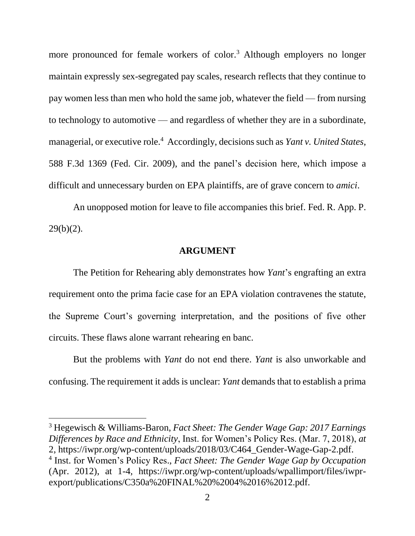more pronounced for female workers of color.<sup>3</sup> Although employers no longer maintain expressly sex-segregated pay scales, research reflects that they continue to pay women less than men who hold the same job, whatever the field — from nursing to technology to automotive — and regardless of whether they are in a subordinate, managerial, or executive role.<sup>4</sup> Accordingly, decisions such as *Yant v. United States*, 588 F.3d 1369 (Fed. Cir. 2009), and the panel's decision here, which impose a difficult and unnecessary burden on EPA plaintiffs, are of grave concern to *amici*.

An unopposed motion for leave to file accompanies this brief. Fed. R. App. P.  $29(b)(2)$ .

#### **ARGUMENT**

The Petition for Rehearing ably demonstrates how *Yant*'s engrafting an extra requirement onto the prima facie case for an EPA violation contravenes the statute, the Supreme Court's governing interpretation, and the positions of five other circuits. These flaws alone warrant rehearing en banc.

But the problems with *Yant* do not end there. *Yant* is also unworkable and confusing. The requirement it adds is unclear: *Yant* demands that to establish a prima

<sup>3</sup> Hegewisch & Williams-Baron, *Fact Sheet: The Gender Wage Gap: 2017 Earnings Differences by Race and Ethnicity*, Inst. for Women's Policy Res. (Mar. 7, 2018), *at* 2, https://iwpr.org/wp-content/uploads/2018/03/C464\_Gender-Wage-Gap-2.pdf. 4 Inst. for Women's Policy Res., *Fact Sheet: The Gender Wage Gap by Occupation* (Apr. 2012), at 1-4, https://iwpr.org/wp-content/uploads/wpallimport/files/iwprexport/publications/C350a%20FINAL%20%2004%2016%2012.pdf.

 $\overline{a}$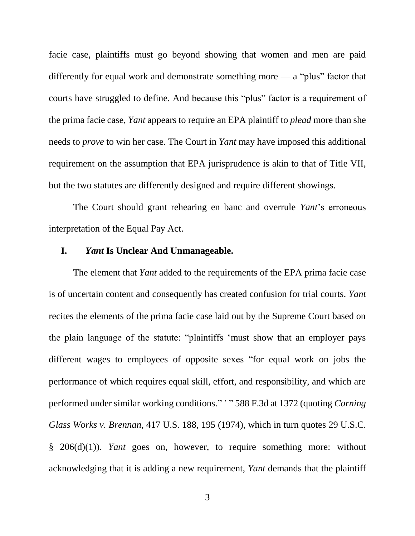facie case, plaintiffs must go beyond showing that women and men are paid differently for equal work and demonstrate something more — a "plus" factor that courts have struggled to define. And because this "plus" factor is a requirement of the prima facie case, *Yant* appears to require an EPA plaintiff to *plead* more than she needs to *prove* to win her case. The Court in *Yant* may have imposed this additional requirement on the assumption that EPA jurisprudence is akin to that of Title VII, but the two statutes are differently designed and require different showings.

The Court should grant rehearing en banc and overrule *Yant*'s erroneous interpretation of the Equal Pay Act.

### **I.** *Yant* **Is Unclear And Unmanageable.**

The element that *Yant* added to the requirements of the EPA prima facie case is of uncertain content and consequently has created confusion for trial courts. *Yant* recites the elements of the prima facie case laid out by the Supreme Court based on the plain language of the statute: "plaintiffs 'must show that an employer pays different wages to employees of opposite sexes "for equal work on jobs the performance of which requires equal skill, effort, and responsibility, and which are performed under similar working conditions." ' " 588 F.3d at 1372 (quoting *Corning Glass Works v. Brennan*, 417 U.S. 188, 195 (1974), which in turn quotes 29 U.S.C. § 206(d)(1)). *Yant* goes on, however, to require something more: without acknowledging that it is adding a new requirement, *Yant* demands that the plaintiff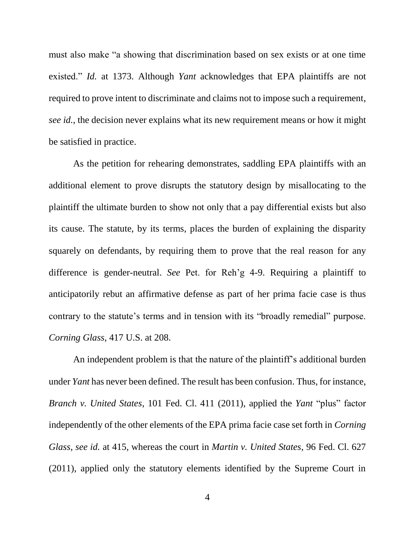must also make "a showing that discrimination based on sex exists or at one time existed." *Id.* at 1373. Although *Yant* acknowledges that EPA plaintiffs are not required to prove intent to discriminate and claims not to impose such a requirement, *see id.*, the decision never explains what its new requirement means or how it might be satisfied in practice.

As the petition for rehearing demonstrates, saddling EPA plaintiffs with an additional element to prove disrupts the statutory design by misallocating to the plaintiff the ultimate burden to show not only that a pay differential exists but also its cause. The statute, by its terms, places the burden of explaining the disparity squarely on defendants, by requiring them to prove that the real reason for any difference is gender-neutral. *See* Pet. for Reh'g 4-9. Requiring a plaintiff to anticipatorily rebut an affirmative defense as part of her prima facie case is thus contrary to the statute's terms and in tension with its "broadly remedial" purpose. *Corning Glass*, 417 U.S. at 208.

An independent problem is that the nature of the plaintiff's additional burden under *Yant* has never been defined. The result has been confusion. Thus, for instance, *Branch v. United States*, 101 Fed. Cl. 411 (2011), applied the *Yant* "plus" factor independently of the other elements of the EPA prima facie case set forth in *Corning Glass*, *see id.* at 415, whereas the court in *Martin v. United States*, 96 Fed. Cl. 627 (2011), applied only the statutory elements identified by the Supreme Court in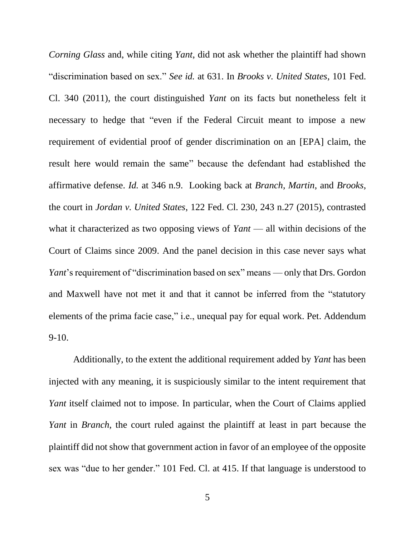*Corning Glass* and, while citing *Yant*, did not ask whether the plaintiff had shown "discrimination based on sex." *See id.* at 631. In *Brooks v. United States*, 101 Fed. Cl. 340 (2011), the court distinguished *Yant* on its facts but nonetheless felt it necessary to hedge that "even if the Federal Circuit meant to impose a new requirement of evidential proof of gender discrimination on an [EPA] claim, the result here would remain the same" because the defendant had established the affirmative defense. *Id.* at 346 n.9. Looking back at *Branch*, *Martin*, and *Brooks*, the court in *Jordan v. United States*, 122 Fed. Cl. 230, 243 n.27 (2015), contrasted what it characterized as two opposing views of *Yant* — all within decisions of the Court of Claims since 2009. And the panel decision in this case never says what *Yant*'s requirement of "discrimination based on sex" means — only that Drs. Gordon and Maxwell have not met it and that it cannot be inferred from the "statutory elements of the prima facie case," i.e., unequal pay for equal work. Pet. Addendum 9-10.

Additionally, to the extent the additional requirement added by *Yant* has been injected with any meaning, it is suspiciously similar to the intent requirement that *Yant* itself claimed not to impose. In particular, when the Court of Claims applied *Yant* in *Branch*, the court ruled against the plaintiff at least in part because the plaintiff did not show that government action in favor of an employee of the opposite sex was "due to her gender." 101 Fed. Cl. at 415. If that language is understood to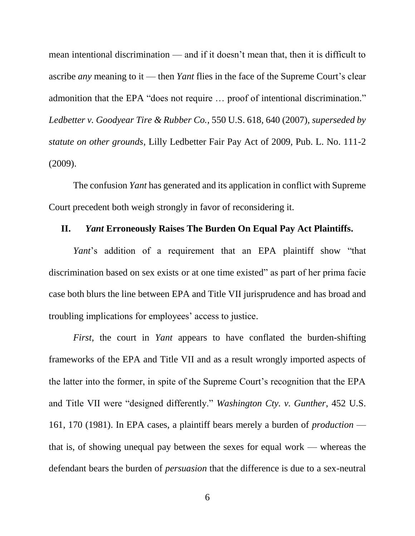mean intentional discrimination — and if it doesn't mean that, then it is difficult to ascribe *any* meaning to it — then *Yant* flies in the face of the Supreme Court's clear admonition that the EPA "does not require … proof of intentional discrimination." *Ledbetter v. Goodyear Tire & Rubber Co.*, 550 U.S. 618, 640 (2007), *superseded by statute on other grounds*, Lilly Ledbetter Fair Pay Act of 2009, Pub. L. No. 111-2 (2009).

The confusion *Yant* has generated and its application in conflict with Supreme Court precedent both weigh strongly in favor of reconsidering it.

### **II.** *Yant* **Erroneously Raises The Burden On Equal Pay Act Plaintiffs.**

*Yant*'s addition of a requirement that an EPA plaintiff show "that discrimination based on sex exists or at one time existed" as part of her prima facie case both blurs the line between EPA and Title VII jurisprudence and has broad and troubling implications for employees' access to justice.

*First*, the court in *Yant* appears to have conflated the burden-shifting frameworks of the EPA and Title VII and as a result wrongly imported aspects of the latter into the former, in spite of the Supreme Court's recognition that the EPA and Title VII were "designed differently." *Washington Cty. v. Gunther*, 452 U.S. 161, 170 (1981). In EPA cases, a plaintiff bears merely a burden of *production* that is, of showing unequal pay between the sexes for equal work — whereas the defendant bears the burden of *persuasion* that the difference is due to a sex-neutral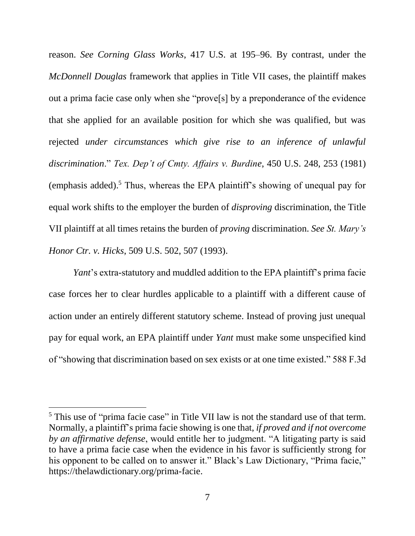reason. *See Corning Glass Works*, 417 U.S. at 195–96. By contrast, under the *McDonnell Douglas* framework that applies in Title VII cases, the plaintiff makes out a prima facie case only when she "prove[s] by a preponderance of the evidence that she applied for an available position for which she was qualified, but was rejected *under circumstances which give rise to an inference of unlawful discrimination*." *Tex. Dep't of Cmty. Affairs v. Burdine*, 450 U.S. 248, 253 (1981) (emphasis added). <sup>5</sup> Thus, whereas the EPA plaintiff's showing of unequal pay for equal work shifts to the employer the burden of *disproving* discrimination, the Title VII plaintiff at all times retains the burden of *proving* discrimination. *See St. Mary's Honor Ctr. v. Hicks*, 509 U.S. 502, 507 (1993).

*Yant*'s extra-statutory and muddled addition to the EPA plaintiff's prima facie case forces her to clear hurdles applicable to a plaintiff with a different cause of action under an entirely different statutory scheme. Instead of proving just unequal pay for equal work, an EPA plaintiff under *Yant* must make some unspecified kind of "showing that discrimination based on sex exists or at one time existed." 588 F.3d

 $\overline{a}$ 

<sup>&</sup>lt;sup>5</sup> This use of "prima facie case" in Title VII law is not the standard use of that term. Normally, a plaintiff's prima facie showing is one that, *if proved and if not overcome by an affirmative defense*, would entitle her to judgment. "A litigating party is said to have a prima facie case when the evidence in his favor is sufficiently strong for his opponent to be called on to answer it." Black's Law Dictionary, "Prima facie," https://thelawdictionary.org/prima-facie.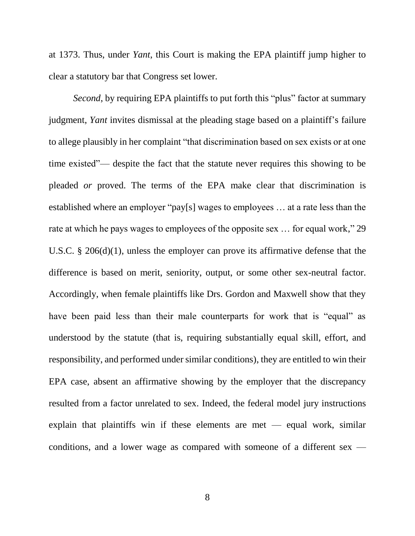at 1373. Thus, under *Yant*, this Court is making the EPA plaintiff jump higher to clear a statutory bar that Congress set lower.

*Second*, by requiring EPA plaintiffs to put forth this "plus" factor at summary judgment, *Yant* invites dismissal at the pleading stage based on a plaintiff's failure to allege plausibly in her complaint "that discrimination based on sex exists or at one time existed"— despite the fact that the statute never requires this showing to be pleaded *or* proved. The terms of the EPA make clear that discrimination is established where an employer "pay[s] wages to employees … at a rate less than the rate at which he pays wages to employees of the opposite sex … for equal work," 29 U.S.C. § 206(d)(1), unless the employer can prove its affirmative defense that the difference is based on merit, seniority, output, or some other sex-neutral factor. Accordingly, when female plaintiffs like Drs. Gordon and Maxwell show that they have been paid less than their male counterparts for work that is "equal" as understood by the statute (that is, requiring substantially equal skill, effort, and responsibility, and performed under similar conditions), they are entitled to win their EPA case, absent an affirmative showing by the employer that the discrepancy resulted from a factor unrelated to sex. Indeed, the federal model jury instructions explain that plaintiffs win if these elements are met — equal work, similar conditions, and a lower wage as compared with someone of a different sex —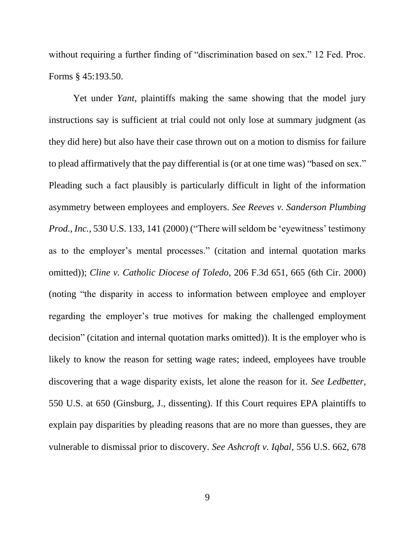without requiring a further finding of "discrimination based on sex." 12 Fed. Proc. Forms § 45:193.50.

Yet under *Yant*, plaintiffs making the same showing that the model jury instructions say is sufficient at trial could not only lose at summary judgment (as they did here) but also have their case thrown out on a motion to dismiss for failure to plead affirmatively that the pay differential is (or at one time was) "based on sex." Pleading such a fact plausibly is particularly difficult in light of the information asymmetry between employees and employers. *See Reeves v. Sanderson Plumbing Prod., Inc.*, 530 U.S. 133, 141 (2000) ("There will seldom be 'eyewitness' testimony as to the employer's mental processes." (citation and internal quotation marks omitted)); *Cline v. Catholic Diocese of Toledo*, 206 F.3d 651, 665 (6th Cir. 2000) (noting "the disparity in access to information between employee and employer regarding the employer's true motives for making the challenged employment decision" (citation and internal quotation marks omitted)). It is the employer who is likely to know the reason for setting wage rates; indeed, employees have trouble discovering that a wage disparity exists, let alone the reason for it. *See Ledbetter*, 550 U.S. at 650 (Ginsburg, J., dissenting). If this Court requires EPA plaintiffs to explain pay disparities by pleading reasons that are no more than guesses, they are vulnerable to dismissal prior to discovery. *See Ashcroft v. Iqbal*, 556 U.S. 662, 678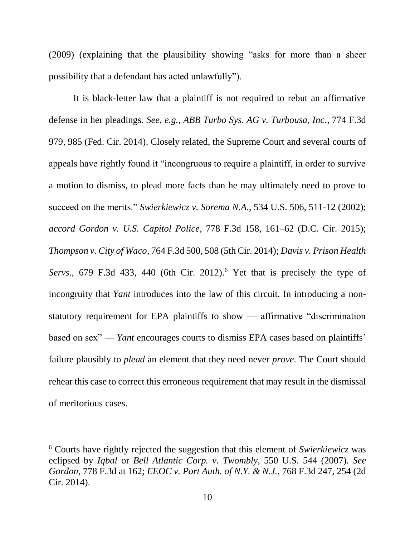(2009) (explaining that the plausibility showing "asks for more than a sheer possibility that a defendant has acted unlawfully").

It is black-letter law that a plaintiff is not required to rebut an affirmative defense in her pleadings. *See, e.g., ABB Turbo Sys. AG v. Turbousa, Inc.*, 774 F.3d 979, 985 (Fed. Cir. 2014). Closely related, the Supreme Court and several courts of appeals have rightly found it "incongruous to require a plaintiff, in order to survive a motion to dismiss, to plead more facts than he may ultimately need to prove to succeed on the merits." *Swierkiewicz v. Sorema N.A.*, 534 U.S. 506, 511-12 (2002); *accord Gordon v. U.S. Capitol Police*, 778 F.3d 158, 161–62 (D.C. Cir. 2015); *Thompson v. City of Waco*, 764 F.3d 500, 508 (5th Cir. 2014); *Davis v. Prison Health Servs.*, 679 F.3d 433, 440 (6th Cir. 2012).<sup>6</sup> Yet that is precisely the type of incongruity that *Yant* introduces into the law of this circuit. In introducing a nonstatutory requirement for EPA plaintiffs to show — affirmative "discrimination based on sex" — *Yant* encourages courts to dismiss EPA cases based on plaintiffs' failure plausibly to *plead* an element that they need never *prove*. The Court should rehear this case to correct this erroneous requirement that may result in the dismissal of meritorious cases.

 $\overline{\phantom{a}}$ 

<sup>6</sup> Courts have rightly rejected the suggestion that this element of *Swierkiewicz* was eclipsed by *Iqbal* or *Bell Atlantic Corp. v. Twombly*, 550 U.S. 544 (2007). *See Gordon*, 778 F.3d at 162; *EEOC v. Port Auth. of N.Y. & N.J.*, 768 F.3d 247, 254 (2d Cir. 2014).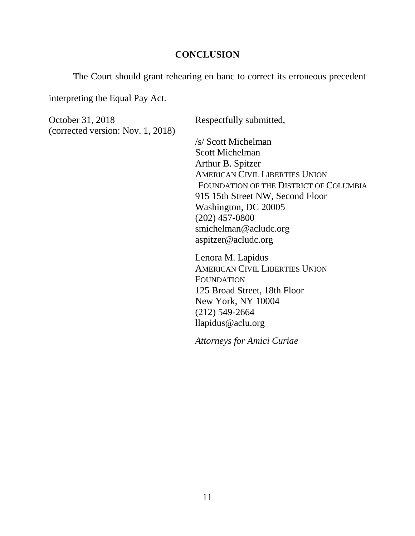### **CONCLUSION**

The Court should grant rehearing en banc to correct its erroneous precedent

interpreting the Equal Pay Act.

October 31, 2018 Respectfully submitted, (corrected version: Nov. 1, 2018)

/s/ Scott Michelman Scott Michelman Arthur B. Spitzer AMERICAN CIVIL LIBERTIES UNION FOUNDATION OF THE DISTRICT OF COLUMBIA 915 15th Street NW, Second Floor Washington, DC 20005 (202) 457-0800 smichelman@acludc.org aspitzer@acludc.org

Lenora M. Lapidus AMERICAN CIVIL LIBERTIES UNION FOUNDATION 125 Broad Street, 18th Floor New York, NY 10004 (212) 549-2664 llapidus@aclu.org

*Attorneys for Amici Curiae*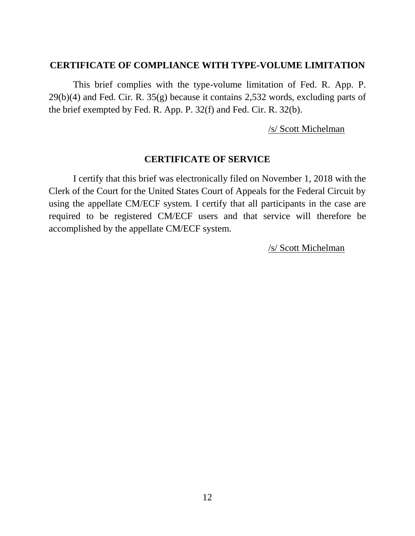### **CERTIFICATE OF COMPLIANCE WITH TYPE-VOLUME LIMITATION**

This brief complies with the type-volume limitation of Fed. R. App. P. 29(b)(4) and Fed. Cir. R. 35(g) because it contains 2,532 words, excluding parts of the brief exempted by Fed. R. App. P. 32(f) and Fed. Cir. R. 32(b).

/s/ Scott Michelman

## **CERTIFICATE OF SERVICE**

I certify that this brief was electronically filed on November 1, 2018 with the Clerk of the Court for the United States Court of Appeals for the Federal Circuit by using the appellate CM/ECF system. I certify that all participants in the case are required to be registered CM/ECF users and that service will therefore be accomplished by the appellate CM/ECF system.

/s/ Scott Michelman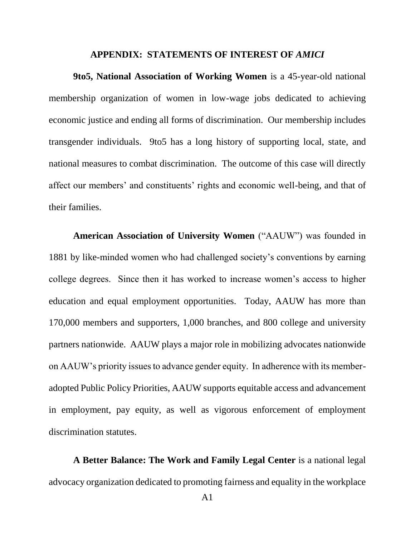#### **APPENDIX: STATEMENTS OF INTEREST OF** *AMICI*

**9to5, National Association of Working Women** is a 45-year-old national membership organization of women in low-wage jobs dedicated to achieving economic justice and ending all forms of discrimination. Our membership includes transgender individuals. 9to5 has a long history of supporting local, state, and national measures to combat discrimination. The outcome of this case will directly affect our members' and constituents' rights and economic well-being, and that of their families.

**American Association of University Women** ("AAUW") was founded in 1881 by like-minded women who had challenged society's conventions by earning college degrees. Since then it has worked to increase women's access to higher education and equal employment opportunities. Today, AAUW has more than 170,000 members and supporters, 1,000 branches, and 800 college and university partners nationwide. AAUW plays a major role in mobilizing advocates nationwide on AAUW's priority issues to advance gender equity. In adherence with its memberadopted Public Policy Priorities, AAUW supports equitable access and advancement in employment, pay equity, as well as vigorous enforcement of employment discrimination statutes.

**A Better Balance: The Work and Family Legal Center** is a national legal advocacy organization dedicated to promoting fairness and equality in the workplace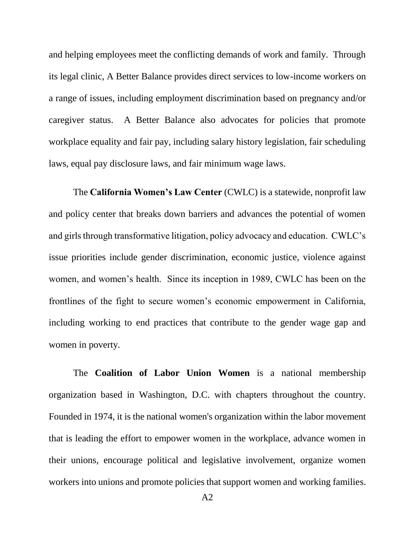and helping employees meet the conflicting demands of work and family. Through its legal clinic, A Better Balance provides direct services to low-income workers on a range of issues, including employment discrimination based on pregnancy and/or caregiver status. A Better Balance also advocates for policies that promote workplace equality and fair pay, including salary history legislation, fair scheduling laws, equal pay disclosure laws, and fair minimum wage laws.

The **California Women's Law Center** (CWLC) is a statewide, nonprofit law and policy center that breaks down barriers and advances the potential of women and girls through transformative litigation, policy advocacy and education. CWLC's issue priorities include gender discrimination, economic justice, violence against women, and women's health. Since its inception in 1989, CWLC has been on the frontlines of the fight to secure women's economic empowerment in California, including working to end practices that contribute to the gender wage gap and women in poverty.

The **Coalition of Labor Union Women** is a national membership organization based in Washington, D.C. with chapters throughout the country. Founded in 1974, it is the national women's organization within the labor movement that is leading the effort to empower women in the workplace, advance women in their unions, encourage political and legislative involvement, organize women workers into unions and promote policies that support women and working families.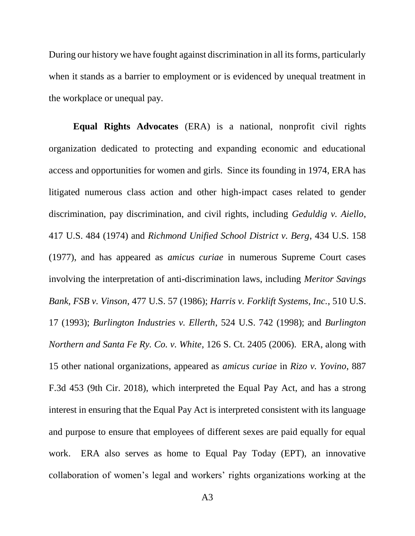During our history we have fought against discrimination in all its forms, particularly when it stands as a barrier to employment or is evidenced by unequal treatment in the workplace or unequal pay.

**Equal Rights Advocates** (ERA) is a national, nonprofit civil rights organization dedicated to protecting and expanding economic and educational access and opportunities for women and girls. Since its founding in 1974, ERA has litigated numerous class action and other high-impact cases related to gender discrimination, pay discrimination, and civil rights, including *Geduldig v. Aiello*, 417 U.S. 484 (1974) and *Richmond Unified School District v. Berg*, 434 U.S. 158 (1977), and has appeared as *amicus curiae* in numerous Supreme Court cases involving the interpretation of anti-discrimination laws, including *Meritor Savings Bank, FSB v. Vinson*, 477 U.S. 57 (1986); *Harris v. Forklift Systems, Inc.*, 510 U.S. 17 (1993); *Burlington Industries v. Ellerth*, 524 U.S. 742 (1998); and *Burlington Northern and Santa Fe Ry. Co. v. White*, 126 S. Ct. 2405 (2006). ERA, along with 15 other national organizations, appeared as *amicus curiae* in *Rizo v. Yovino*, 887 F.3d 453 (9th Cir. 2018), which interpreted the Equal Pay Act, and has a strong interest in ensuring that the Equal Pay Act is interpreted consistent with its language and purpose to ensure that employees of different sexes are paid equally for equal work. ERA also serves as home to Equal Pay Today (EPT), an innovative collaboration of women's legal and workers' rights organizations working at the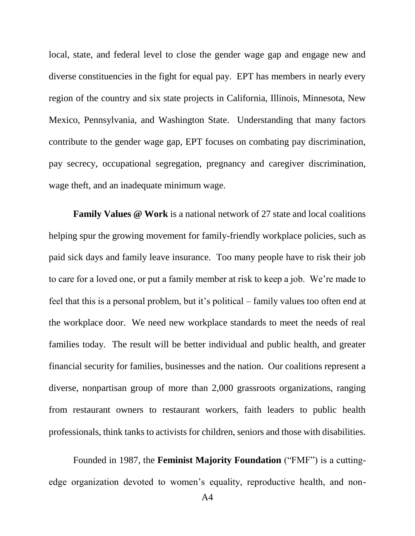local, state, and federal level to close the gender wage gap and engage new and diverse constituencies in the fight for equal pay. EPT has members in nearly every region of the country and six state projects in California, Illinois, Minnesota, New Mexico, Pennsylvania, and Washington State. Understanding that many factors contribute to the gender wage gap, EPT focuses on combating pay discrimination, pay secrecy, occupational segregation, pregnancy and caregiver discrimination, wage theft, and an inadequate minimum wage.

**Family Values @ Work** is a national network of 27 state and local coalitions helping spur the growing movement for family-friendly workplace policies, such as paid sick days and family leave insurance. Too many people have to risk their job to care for a loved one, or put a family member at risk to keep a job. We're made to feel that this is a personal problem, but it's political – family values too often end at the workplace door. We need new workplace standards to meet the needs of real families today. The result will be better individual and public health, and greater financial security for families, businesses and the nation. Our coalitions represent a diverse, nonpartisan group of more than 2,000 grassroots organizations, ranging from restaurant owners to restaurant workers, faith leaders to public health professionals, think tanks to activists for children, seniors and those with disabilities.

Founded in 1987, the **Feminist Majority Foundation** ("FMF") is a cuttingedge organization devoted to women's equality, reproductive health, and non-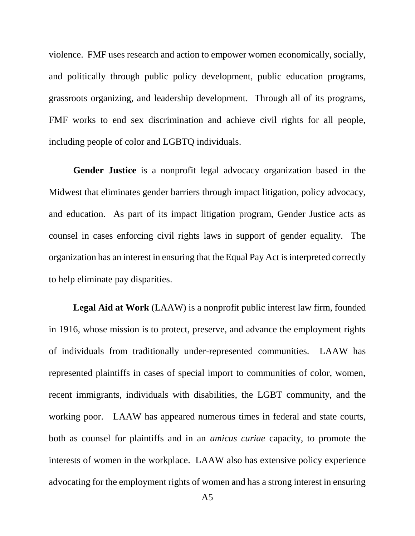violence. FMF uses research and action to empower women economically, socially, and politically through public policy development, public education programs, grassroots organizing, and leadership development. Through all of its programs, FMF works to end sex discrimination and achieve civil rights for all people, including people of color and LGBTQ individuals.

**Gender Justice** is a nonprofit legal advocacy organization based in the Midwest that eliminates gender barriers through impact litigation, policy advocacy, and education. As part of its impact litigation program, Gender Justice acts as counsel in cases enforcing civil rights laws in support of gender equality. The organization has an interest in ensuring that the Equal Pay Act is interpreted correctly to help eliminate pay disparities.

**Legal Aid at Work** (LAAW) is a nonprofit public interest law firm, founded in 1916, whose mission is to protect, preserve, and advance the employment rights of individuals from traditionally under-represented communities. LAAW has represented plaintiffs in cases of special import to communities of color, women, recent immigrants, individuals with disabilities, the LGBT community, and the working poor. LAAW has appeared numerous times in federal and state courts, both as counsel for plaintiffs and in an *amicus curiae* capacity, to promote the interests of women in the workplace. LAAW also has extensive policy experience advocating for the employment rights of women and has a strong interest in ensuring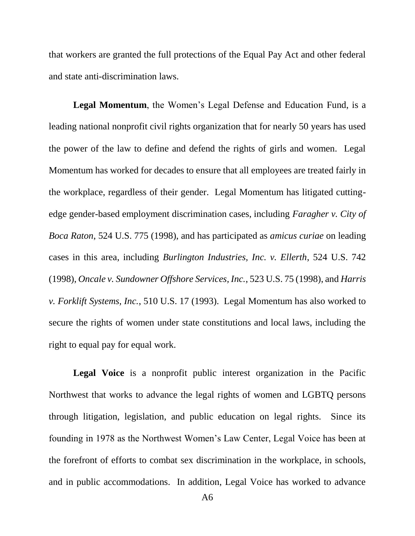that workers are granted the full protections of the Equal Pay Act and other federal and state anti-discrimination laws.

**Legal Momentum**, the Women's Legal Defense and Education Fund, is a leading national nonprofit civil rights organization that for nearly 50 years has used the power of the law to define and defend the rights of girls and women. Legal Momentum has worked for decades to ensure that all employees are treated fairly in the workplace, regardless of their gender. Legal Momentum has litigated cuttingedge gender-based employment discrimination cases, including *Faragher v. City of Boca Raton*, 524 U.S. 775 (1998), and has participated as *amicus curiae* on leading cases in this area, including *Burlington Industries, Inc. v. Ellerth*, 524 U.S. 742 (1998), *Oncale v. Sundowner Offshore Services, Inc.*, 523 U.S. 75 (1998), and *Harris v. Forklift Systems, Inc.*, 510 U.S. 17 (1993). Legal Momentum has also worked to secure the rights of women under state constitutions and local laws, including the right to equal pay for equal work.

**Legal Voice** is a nonprofit public interest organization in the Pacific Northwest that works to advance the legal rights of women and LGBTQ persons through litigation, legislation, and public education on legal rights. Since its founding in 1978 as the Northwest Women's Law Center, Legal Voice has been at the forefront of efforts to combat sex discrimination in the workplace, in schools, and in public accommodations. In addition, Legal Voice has worked to advance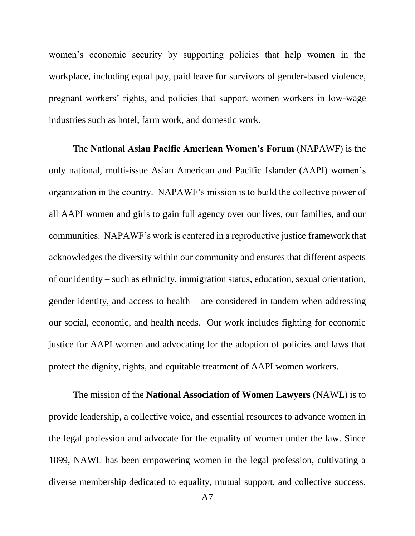women's economic security by supporting policies that help women in the workplace, including equal pay, paid leave for survivors of gender-based violence, pregnant workers' rights, and policies that support women workers in low-wage industries such as hotel, farm work, and domestic work.

The **National Asian Pacific American Women's Forum** (NAPAWF) is the only national, multi-issue Asian American and Pacific Islander (AAPI) women's organization in the country. NAPAWF's mission is to build the collective power of all AAPI women and girls to gain full agency over our lives, our families, and our communities. NAPAWF's work is centered in a reproductive justice framework that acknowledges the diversity within our community and ensures that different aspects of our identity – such as ethnicity, immigration status, education, sexual orientation, gender identity, and access to health – are considered in tandem when addressing our social, economic, and health needs. Our work includes fighting for economic justice for AAPI women and advocating for the adoption of policies and laws that protect the dignity, rights, and equitable treatment of AAPI women workers.

The mission of the **National Association of Women Lawyers** (NAWL) is to provide leadership, a collective voice, and essential resources to advance women in the legal profession and advocate for the equality of women under the law. Since 1899, NAWL has been empowering women in the legal profession, cultivating a diverse membership dedicated to equality, mutual support, and collective success.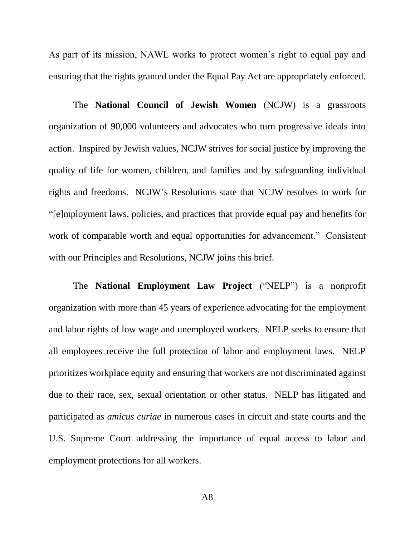As part of its mission, NAWL works to protect women's right to equal pay and ensuring that the rights granted under the Equal Pay Act are appropriately enforced.

The **National Council of Jewish Women** (NCJW) is a grassroots organization of 90,000 volunteers and advocates who turn progressive ideals into action. Inspired by Jewish values, NCJW strives for social justice by improving the quality of life for women, children, and families and by safeguarding individual rights and freedoms. NCJW's Resolutions state that NCJW resolves to work for "[e]mployment laws, policies, and practices that provide equal pay and benefits for work of comparable worth and equal opportunities for advancement." Consistent with our Principles and Resolutions, NCJW joins this brief.

The **National Employment Law Project** ("NELP") is a nonprofit organization with more than 45 years of experience advocating for the employment and labor rights of low wage and unemployed workers. NELP seeks to ensure that all employees receive the full protection of labor and employment laws. NELP prioritizes workplace equity and ensuring that workers are not discriminated against due to their race, sex, sexual orientation or other status. NELP has litigated and participated as *amicus curiae* in numerous cases in circuit and state courts and the U.S. Supreme Court addressing the importance of equal access to labor and employment protections for all workers.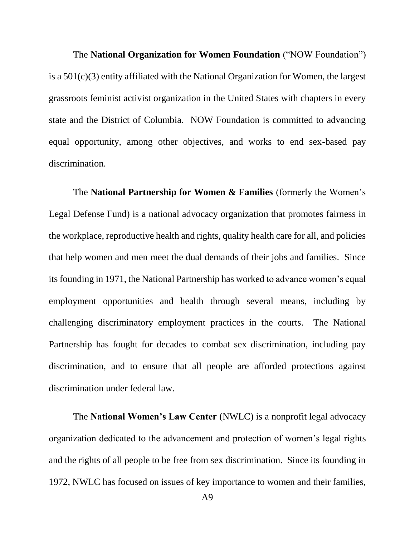The **National Organization for Women Foundation** ("NOW Foundation") is a 501(c)(3) entity affiliated with the National Organization for Women, the largest grassroots feminist activist organization in the United States with chapters in every state and the District of Columbia. NOW Foundation is committed to advancing equal opportunity, among other objectives, and works to end sex-based pay discrimination.

The **National Partnership for Women & Families** (formerly the Women's Legal Defense Fund) is a national advocacy organization that promotes fairness in the workplace, reproductive health and rights, quality health care for all, and policies that help women and men meet the dual demands of their jobs and families. Since its founding in 1971, the National Partnership has worked to advance women's equal employment opportunities and health through several means, including by challenging discriminatory employment practices in the courts. The National Partnership has fought for decades to combat sex discrimination, including pay discrimination, and to ensure that all people are afforded protections against discrimination under federal law.

The **National Women's Law Center** (NWLC) is a nonprofit legal advocacy organization dedicated to the advancement and protection of women's legal rights and the rights of all people to be free from sex discrimination. Since its founding in 1972, NWLC has focused on issues of key importance to women and their families,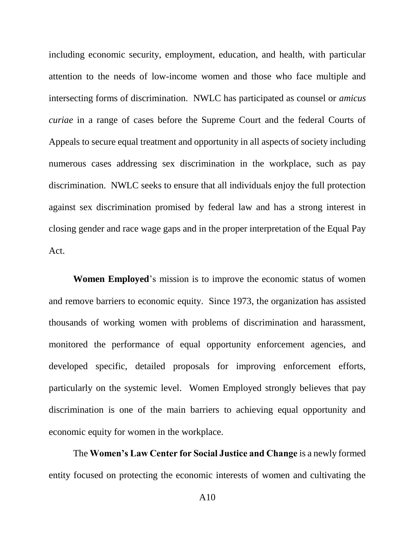including economic security, employment, education, and health, with particular attention to the needs of low-income women and those who face multiple and intersecting forms of discrimination. NWLC has participated as counsel or *amicus curiae* in a range of cases before the Supreme Court and the federal Courts of Appeals to secure equal treatment and opportunity in all aspects of society including numerous cases addressing sex discrimination in the workplace, such as pay discrimination. NWLC seeks to ensure that all individuals enjoy the full protection against sex discrimination promised by federal law and has a strong interest in closing gender and race wage gaps and in the proper interpretation of the Equal Pay Act.

**Women Employed**'s mission is to improve the economic status of women and remove barriers to economic equity. Since 1973, the organization has assisted thousands of working women with problems of discrimination and harassment, monitored the performance of equal opportunity enforcement agencies, and developed specific, detailed proposals for improving enforcement efforts, particularly on the systemic level. Women Employed strongly believes that pay discrimination is one of the main barriers to achieving equal opportunity and economic equity for women in the workplace.

The **Women's Law Center for Social Justice and Change** is a newly formed entity focused on protecting the economic interests of women and cultivating the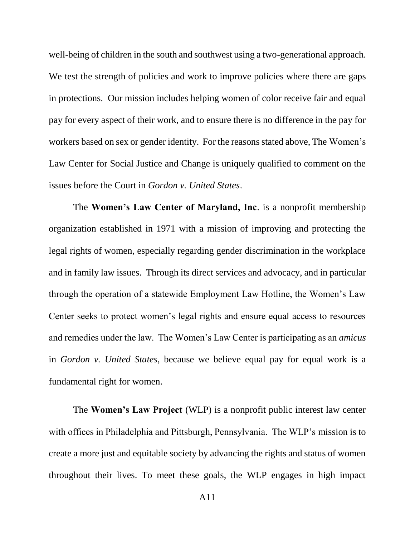well-being of children in the south and southwest using a two-generational approach. We test the strength of policies and work to improve policies where there are gaps in protections. Our mission includes helping women of color receive fair and equal pay for every aspect of their work, and to ensure there is no difference in the pay for workers based on sex or gender identity. For the reasons stated above, The Women's Law Center for Social Justice and Change is uniquely qualified to comment on the issues before the Court in *Gordon v. United States*.

The **Women's Law Center of Maryland, Inc**. is a nonprofit membership organization established in 1971 with a mission of improving and protecting the legal rights of women, especially regarding gender discrimination in the workplace and in family law issues. Through its direct services and advocacy, and in particular through the operation of a statewide Employment Law Hotline, the Women's Law Center seeks to protect women's legal rights and ensure equal access to resources and remedies under the law. The Women's Law Center is participating as an *amicus* in *Gordon v. United States*, because we believe equal pay for equal work is a fundamental right for women.

The **Women's Law Project** (WLP) is a nonprofit public interest law center with offices in Philadelphia and Pittsburgh, Pennsylvania. The WLP's mission is to create a more just and equitable society by advancing the rights and status of women throughout their lives. To meet these goals, the WLP engages in high impact